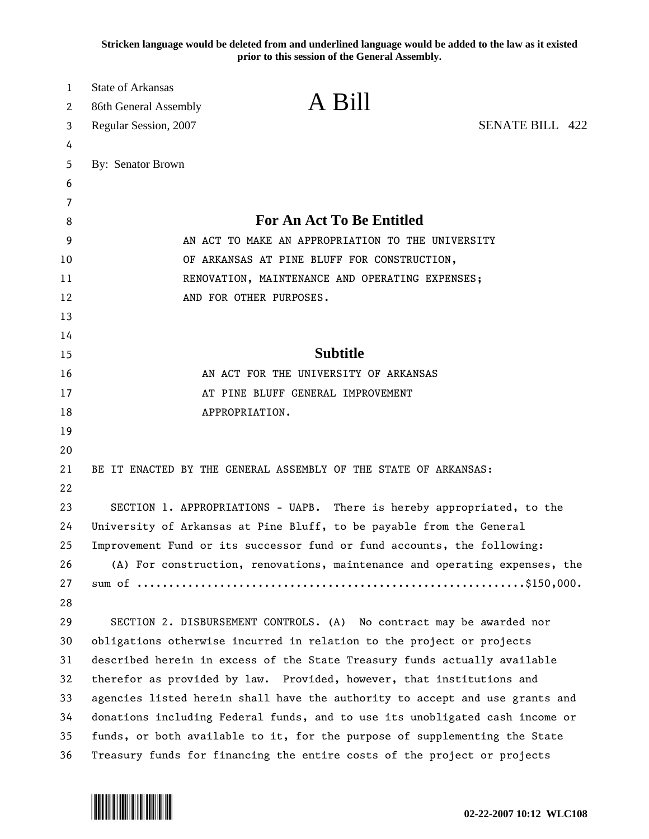**Stricken language would be deleted from and underlined language would be added to the law as it existed prior to this session of the General Assembly.**

| 1  | <b>State of Arkansas</b>                                                     | A Bill          |                        |
|----|------------------------------------------------------------------------------|-----------------|------------------------|
| 2  | 86th General Assembly                                                        |                 |                        |
| 3  | Regular Session, 2007                                                        |                 | <b>SENATE BILL 422</b> |
| 4  |                                                                              |                 |                        |
| 5  | By: Senator Brown                                                            |                 |                        |
| 6  |                                                                              |                 |                        |
| 7  |                                                                              |                 |                        |
| 8  | <b>For An Act To Be Entitled</b>                                             |                 |                        |
| 9  | AN ACT TO MAKE AN APPROPRIATION TO THE UNIVERSITY                            |                 |                        |
| 10 | OF ARKANSAS AT PINE BLUFF FOR CONSTRUCTION,                                  |                 |                        |
| 11 | RENOVATION, MAINTENANCE AND OPERATING EXPENSES;                              |                 |                        |
| 12 | AND FOR OTHER PURPOSES.                                                      |                 |                        |
| 13 |                                                                              |                 |                        |
| 14 |                                                                              |                 |                        |
| 15 |                                                                              | <b>Subtitle</b> |                        |
| 16 | AN ACT FOR THE UNIVERSITY OF ARKANSAS                                        |                 |                        |
| 17 | AT PINE BLUFF GENERAL IMPROVEMENT                                            |                 |                        |
| 18 | APPROPRIATION.                                                               |                 |                        |
| 19 |                                                                              |                 |                        |
| 20 |                                                                              |                 |                        |
| 21 | BE IT ENACTED BY THE GENERAL ASSEMBLY OF THE STATE OF ARKANSAS:              |                 |                        |
| 22 |                                                                              |                 |                        |
| 23 | SECTION 1. APPROPRIATIONS - UAPB. There is hereby appropriated, to the       |                 |                        |
| 24 | University of Arkansas at Pine Bluff, to be payable from the General         |                 |                        |
| 25 | Improvement Fund or its successor fund or fund accounts, the following:      |                 |                        |
| 26 | (A) For construction, renovations, maintenance and operating expenses, the   |                 |                        |
| 27 |                                                                              |                 |                        |
| 28 |                                                                              |                 |                        |
| 29 | SECTION 2. DISBURSEMENT CONTROLS. (A) No contract may be awarded nor         |                 |                        |
| 30 | obligations otherwise incurred in relation to the project or projects        |                 |                        |
| 31 | described herein in excess of the State Treasury funds actually available    |                 |                        |
| 32 | therefor as provided by law. Provided, however, that institutions and        |                 |                        |
| 33 | agencies listed herein shall have the authority to accept and use grants and |                 |                        |
| 34 | donations including Federal funds, and to use its unobligated cash income or |                 |                        |
| 35 | funds, or both available to it, for the purpose of supplementing the State   |                 |                        |
| 36 | Treasury funds for financing the entire costs of the project or projects     |                 |                        |